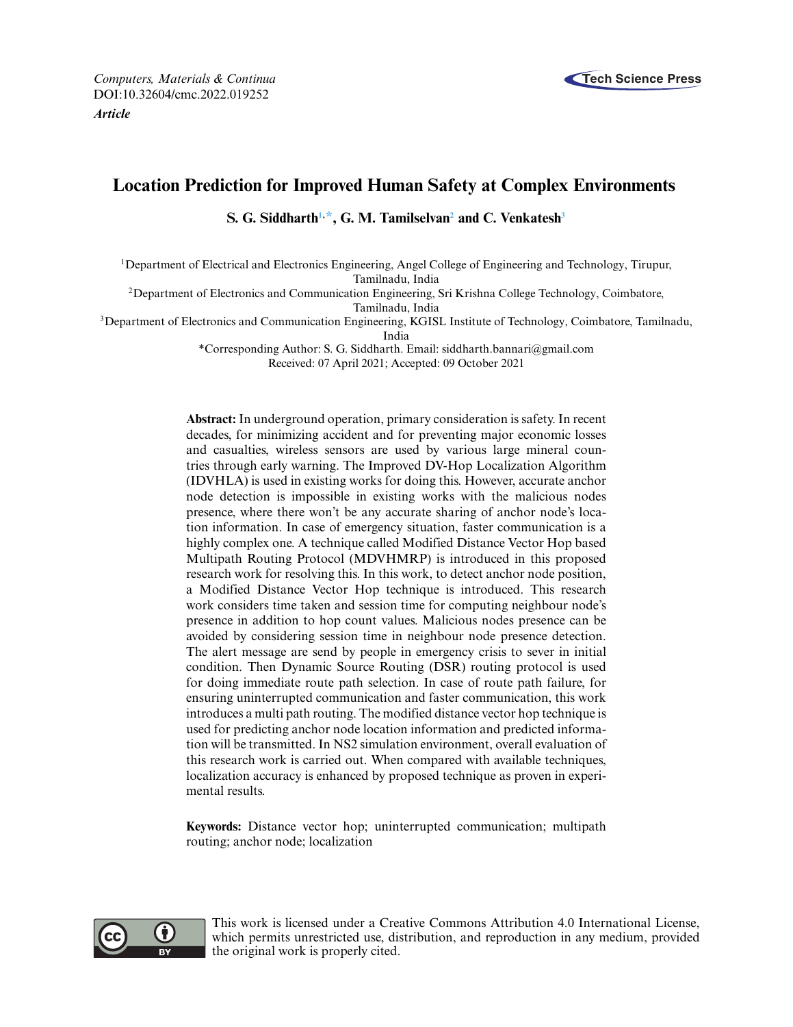

# **Location Prediction for Improved Human Safety at Complex Environments**

<span id="page-0-0"></span>1Department of Electrical and Electronics Engineering, Angel College of Engineering and Technology, Tirupur, Tamilnadu, India

<span id="page-0-2"></span>2Department of Electronics and Communication Engineering, Sri Krishna College Technology, Coimbatore, Tamilnadu, India

3Department of Electronics and Communication Engineering, KGISL Institute of Technology, Coimbatore, Tamilnadu,

India

<span id="page-0-1"></span>\*Corresponding Author: S. G. Siddharth. Email: [siddharth.bannari@gmail.com](mailto:siddharth.bannari@gmail.com) Received: 07 April 2021; Accepted: 09 October 2021

**Abstract:** In underground operation, primary consideration is safety. In recent decades, for minimizing accident and for preventing major economic losses and casualties, wireless sensors are used by various large mineral countries through early warning. The Improved DV-Hop Localization Algorithm (IDVHLA) is used in existing works for doing this. However, accurate anchor node detection is impossible in existing works with the malicious nodes presence, where there won't be any accurate sharing of anchor node's location information. In case of emergency situation, faster communication is a highly complex one. A technique called Modified Distance Vector Hop based Multipath Routing Protocol (MDVHMRP) is introduced in this proposed research work for resolving this. In this work, to detect anchor node position, a Modified Distance Vector Hop technique is introduced. This research work considers time taken and session time for computing neighbour node's presence in addition to hop count values. Malicious nodes presence can be avoided by considering session time in neighbour node presence detection. The alert message are send by people in emergency crisis to sever in initial condition. Then Dynamic Source Routing (DSR) routing protocol is used for doing immediate route path selection. In case of route path failure, for ensuring uninterrupted communication and faster communication, this work introduces a multi path routing. The modified distance vector hop technique is used for predicting anchor node location information and predicted information will be transmitted. In NS2 simulation environment, overall evaluation of this research work is carried out. When compared with available techniques, localization accuracy is enhanced by proposed technique as proven in experimental results.

**Keywords:** Distance vector hop; uninterrupted communication; multipath routing; anchor node; localization



This work is licensed under a Creative Commons Attribution 4.0 International License, which permits unrestricted use, distribution, and reproduction in any medium, provided the original work is properly cited.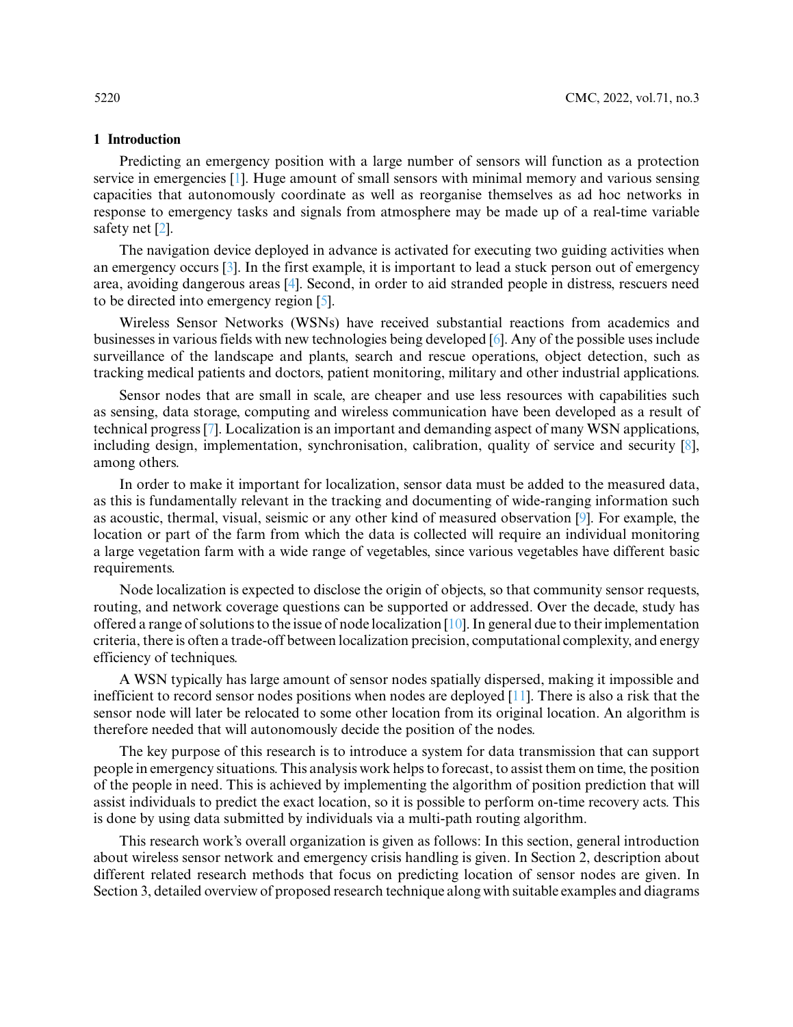# **1 Introduction**

Predicting an emergency position with a large number of sensors will function as a protection service in emergencies [\[1\]](#page-14-0). Huge amount of small sensors with minimal memory and various sensing capacities that autonomously coordinate as well as reorganise themselves as ad hoc networks in response to emergency tasks and signals from atmosphere may be made up of a real-time variable safety net [\[2\]](#page-14-1).

The navigation device deployed in advance is activated for executing two guiding activities when an emergency occurs [\[3\]](#page-14-2). In the first example, it is important to lead a stuck person out of emergency area, avoiding dangerous areas [\[4\]](#page-14-3). Second, in order to aid stranded people in distress, rescuers need to be directed into emergency region [\[5\]](#page-14-4).

Wireless Sensor Networks (WSNs) have received substantial reactions from academics and businesses in various fields with new technologies being developed [\[6\]](#page-14-5). Any of the possible uses include surveillance of the landscape and plants, search and rescue operations, object detection, such as tracking medical patients and doctors, patient monitoring, military and other industrial applications.

Sensor nodes that are small in scale, are cheaper and use less resources with capabilities such as sensing, data storage, computing and wireless communication have been developed as a result of technical progress [\[7\]](#page-14-6). Localization is an important and demanding aspect of many WSN applications, including design, implementation, synchronisation, calibration, quality of service and security [\[8\]](#page-14-7), among others.

In order to make it important for localization, sensor data must be added to the measured data, as this is fundamentally relevant in the tracking and documenting of wide-ranging information such as acoustic, thermal, visual, seismic or any other kind of measured observation [\[9\]](#page-14-8). For example, the location or part of the farm from which the data is collected will require an individual monitoring a large vegetation farm with a wide range of vegetables, since various vegetables have different basic requirements.

Node localization is expected to disclose the origin of objects, so that community sensor requests, routing, and network coverage questions can be supported or addressed. Over the decade, study has offered a range of solutions to the issue of node localization [\[10\]](#page-14-9). In general due to their implementation criteria, there is often a trade-off between localization precision, computational complexity, and energy efficiency of techniques.

A WSN typically has large amount of sensor nodes spatially dispersed, making it impossible and inefficient to record sensor nodes positions when nodes are deployed [\[11\]](#page-14-10). There is also a risk that the sensor node will later be relocated to some other location from its original location. An algorithm is therefore needed that will autonomously decide the position of the nodes.

The key purpose of this research is to introduce a system for data transmission that can support people in emergency situations. This analysis work helps to forecast, to assist them on time, the position of the people in need. This is achieved by implementing the algorithm of position prediction that will assist individuals to predict the exact location, so it is possible to perform on-time recovery acts. This is done by using data submitted by individuals via a multi-path routing algorithm.

This research work's overall organization is given as follows: In this section, general introduction about wireless sensor network and emergency crisis handling is given. In Section 2, description about different related research methods that focus on predicting location of sensor nodes are given. In Section 3, detailed overview of proposed research technique along with suitable examples and diagrams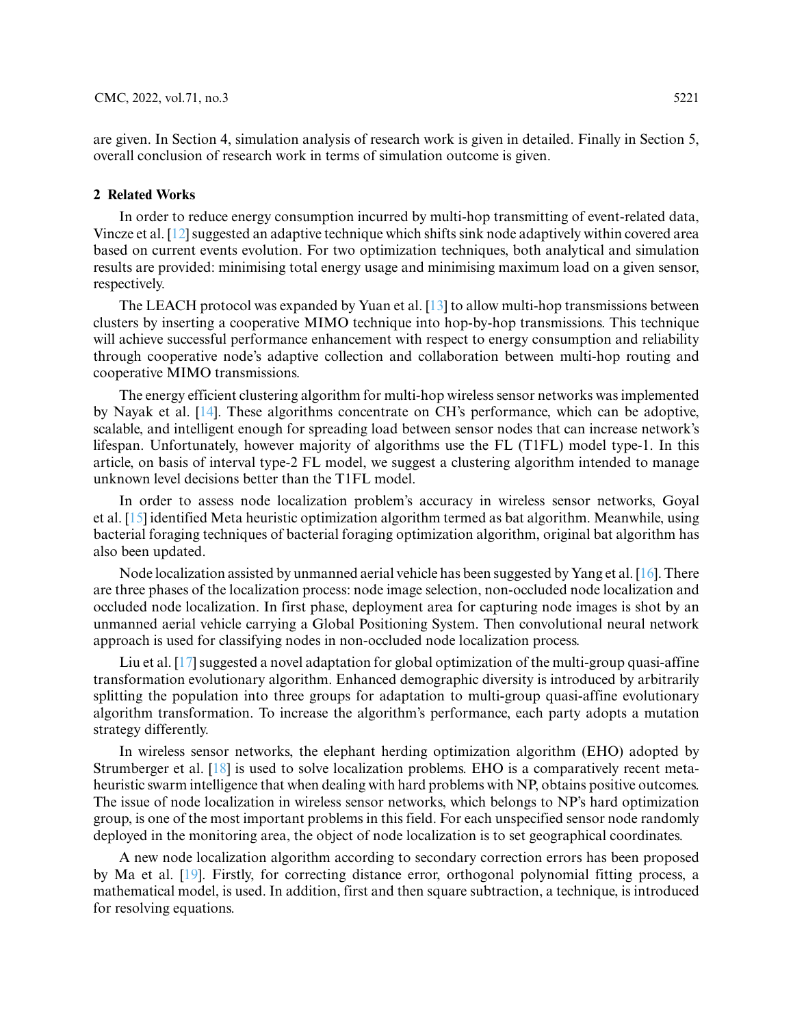are given. In Section 4, simulation analysis of research work is given in detailed. Finally in Section 5, overall conclusion of research work in terms of simulation outcome is given.

#### **2 Related Works**

In order to reduce energy consumption incurred by multi-hop transmitting of event-related data, Vincze et al. [\[12\]](#page-14-11) suggested an adaptive technique which shifts sink node adaptively within covered area based on current events evolution. For two optimization techniques, both analytical and simulation results are provided: minimising total energy usage and minimising maximum load on a given sensor, respectively.

The LEACH protocol was expanded by Yuan et al. [\[13\]](#page-14-12) to allow multi-hop transmissions between clusters by inserting a cooperative MIMO technique into hop-by-hop transmissions. This technique will achieve successful performance enhancement with respect to energy consumption and reliability through cooperative node's adaptive collection and collaboration between multi-hop routing and cooperative MIMO transmissions.

The energy efficient clustering algorithm for multi-hop wireless sensor networks was implemented by Nayak et al. [\[14\]](#page-14-13). These algorithms concentrate on CH's performance, which can be adoptive, scalable, and intelligent enough for spreading load between sensor nodes that can increase network's lifespan. Unfortunately, however majority of algorithms use the FL (T1FL) model type-1. In this article, on basis of interval type-2 FL model, we suggest a clustering algorithm intended to manage unknown level decisions better than the T1FL model.

In order to assess node localization problem's accuracy in wireless sensor networks, Goyal et al. [\[15\]](#page-14-14) identified Meta heuristic optimization algorithm termed as bat algorithm. Meanwhile, using bacterial foraging techniques of bacterial foraging optimization algorithm, original bat algorithm has also been updated.

Node localization assisted by unmanned aerial vehicle has been suggested by Yang et al. [\[16\]](#page-14-15). There are three phases of the localization process: node image selection, non-occluded node localization and occluded node localization. In first phase, deployment area for capturing node images is shot by an unmanned aerial vehicle carrying a Global Positioning System. Then convolutional neural network approach is used for classifying nodes in non-occluded node localization process.

Liu et al. [\[17\]](#page-14-16) suggested a novel adaptation for global optimization of the multi-group quasi-affine transformation evolutionary algorithm. Enhanced demographic diversity is introduced by arbitrarily splitting the population into three groups for adaptation to multi-group quasi-affine evolutionary algorithm transformation. To increase the algorithm's performance, each party adopts a mutation strategy differently.

In wireless sensor networks, the elephant herding optimization algorithm (EHO) adopted by Strumberger et al. [\[18\]](#page-15-0) is used to solve localization problems. EHO is a comparatively recent metaheuristic swarm intelligence that when dealing with hard problems with NP, obtains positive outcomes. The issue of node localization in wireless sensor networks, which belongs to NP's hard optimization group, is one of the most important problems in this field. For each unspecified sensor node randomly deployed in the monitoring area, the object of node localization is to set geographical coordinates.

A new node localization algorithm according to secondary correction errors has been proposed by Ma et al. [\[19\]](#page-15-1). Firstly, for correcting distance error, orthogonal polynomial fitting process, a mathematical model, is used. In addition, first and then square subtraction, a technique, is introduced for resolving equations.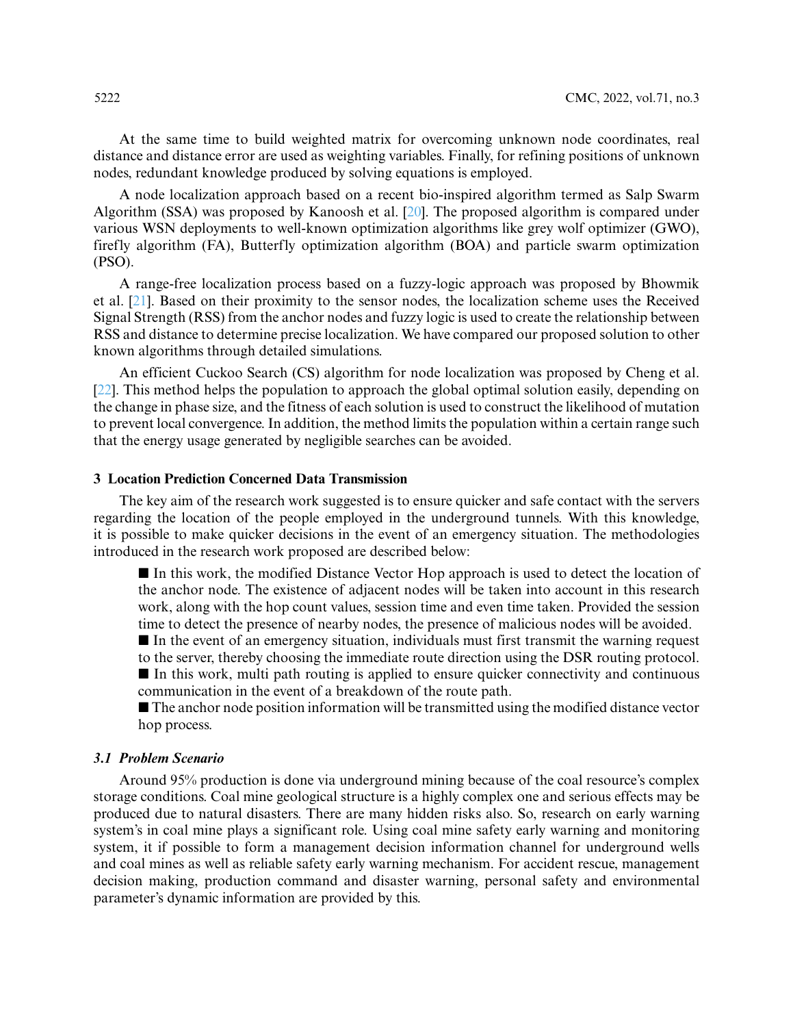At the same time to build weighted matrix for overcoming unknown node coordinates, real distance and distance error are used as weighting variables. Finally, for refining positions of unknown nodes, redundant knowledge produced by solving equations is employed.

A node localization approach based on a recent bio-inspired algorithm termed as Salp Swarm Algorithm (SSA) was proposed by Kanoosh et al. [\[20\]](#page-15-2). The proposed algorithm is compared under various WSN deployments to well-known optimization algorithms like grey wolf optimizer (GWO), firefly algorithm (FA), Butterfly optimization algorithm (BOA) and particle swarm optimization (PSO).

A range-free localization process based on a fuzzy-logic approach was proposed by Bhowmik et al. [\[21\]](#page-15-3). Based on their proximity to the sensor nodes, the localization scheme uses the Received Signal Strength (RSS) from the anchor nodes and fuzzy logic is used to create the relationship between RSS and distance to determine precise localization. We have compared our proposed solution to other known algorithms through detailed simulations.

An efficient Cuckoo Search (CS) algorithm for node localization was proposed by Cheng et al. [\[22\]](#page-15-4). This method helps the population to approach the global optimal solution easily, depending on the change in phase size, and the fitness of each solution is used to construct the likelihood of mutation to prevent local convergence. In addition, the method limits the population within a certain range such that the energy usage generated by negligible searches can be avoided.

# **3 Location Prediction Concerned Data Transmission**

The key aim of the research work suggested is to ensure quicker and safe contact with the servers regarding the location of the people employed in the underground tunnels. With this knowledge, it is possible to make quicker decisions in the event of an emergency situation. The methodologies introduced in the research work proposed are described below:

- In this work, the modified Distance Vector Hop approach is used to detect the location of the anchor node. The existence of adjacent nodes will be taken into account in this research work, along with the hop count values, session time and even time taken. Provided the session time to detect the presence of nearby nodes, the presence of malicious nodes will be avoided.

- In the event of an emergency situation, individuals must first transmit the warning request to the server, thereby choosing the immediate route direction using the DSR routing protocol.

- In this work, multi path routing is applied to ensure quicker connectivity and continuous communication in the event of a breakdown of the route path.

■ The anchor node position information will be transmitted using the modified distance vector hop process.

# *3.1 Problem Scenario*

Around 95% production is done via underground mining because of the coal resource's complex storage conditions. Coal mine geological structure is a highly complex one and serious effects may be produced due to natural disasters. There are many hidden risks also. So, research on early warning system's in coal mine plays a significant role. Using coal mine safety early warning and monitoring system, it if possible to form a management decision information channel for underground wells and coal mines as well as reliable safety early warning mechanism. For accident rescue, management decision making, production command and disaster warning, personal safety and environmental parameter's dynamic information are provided by this.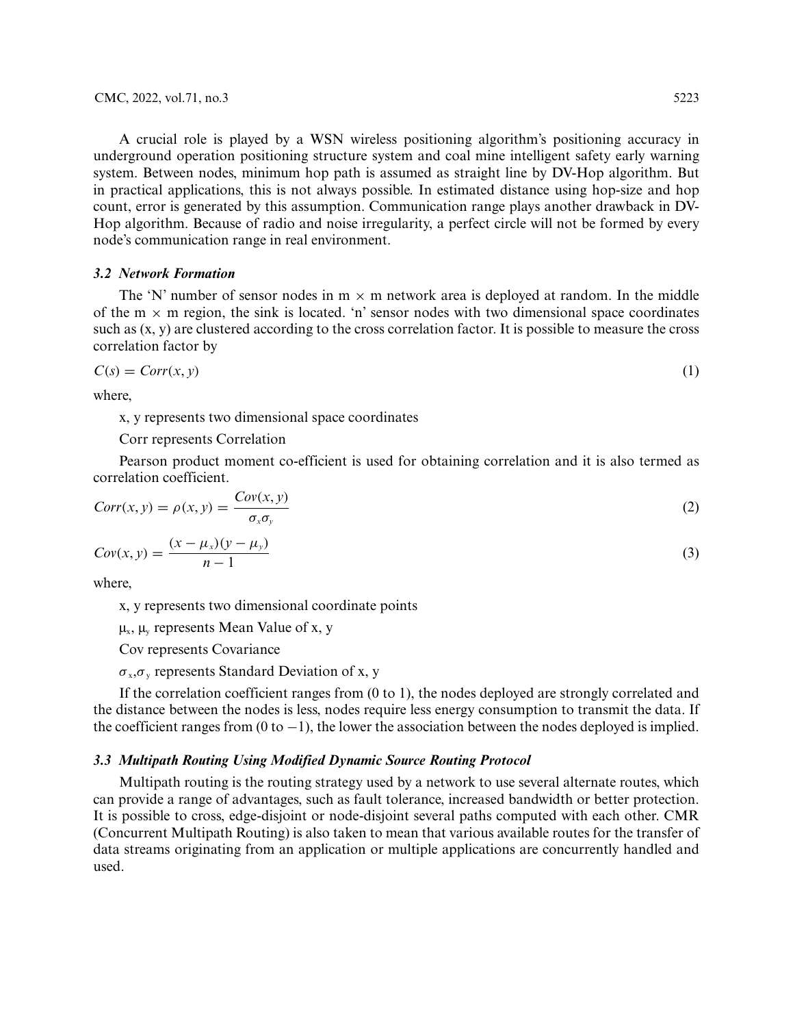A crucial role is played by a WSN wireless positioning algorithm's positioning accuracy in underground operation positioning structure system and coal mine intelligent safety early warning system. Between nodes, minimum hop path is assumed as straight line by DV-Hop algorithm. But in practical applications, this is not always possible. In estimated distance using hop-size and hop count, error is generated by this assumption. Communication range plays another drawback in DV-Hop algorithm. Because of radio and noise irregularity, a perfect circle will not be formed by every node's communication range in real environment.

# *3.2 Network Formation*

The 'N' number of sensor nodes in  $m \times m$  network area is deployed at random. In the middle of the  $m \times m$  region, the sink is located. 'n' sensor nodes with two dimensional space coordinates such as (x, y) are clustered according to the cross correlation factor. It is possible to measure the cross correlation factor by

$$
C(s) = Corr(x, y) \tag{1}
$$

where,

x, y represents two dimensional space coordinates

# Corr represents Correlation

Pearson product moment co-efficient is used for obtaining correlation and it is also termed as correlation coefficient.

$$
Corr(x, y) = \rho(x, y) = \frac{Cov(x, y)}{\sigma_x \sigma_y}
$$
\n(2)

$$
Cov(x, y) = \frac{(x - \mu_x)(y - \mu_y)}{n - 1}
$$
 (3)

where,

x, y represents two dimensional coordinate points

 $\mu_{x}$ ,  $\mu_{y}$  represents Mean Value of x, y

Cov represents Covariance

 $\sigma_{x}, \sigma_{y}$  represents Standard Deviation of x, y

If the correlation coefficient ranges from (0 to 1), the nodes deployed are strongly correlated and the distance between the nodes is less, nodes require less energy consumption to transmit the data. If the coefficient ranges from  $(0 \text{ to } -1)$ , the lower the association between the nodes deployed is implied.

# *3.3 Multipath Routing Using Modified Dynamic Source Routing Protocol*

Multipath routing is the routing strategy used by a network to use several alternate routes, which can provide a range of advantages, such as fault tolerance, increased bandwidth or better protection. It is possible to cross, edge-disjoint or node-disjoint several paths computed with each other. CMR (Concurrent Multipath Routing) is also taken to mean that various available routes for the transfer of data streams originating from an application or multiple applications are concurrently handled and used.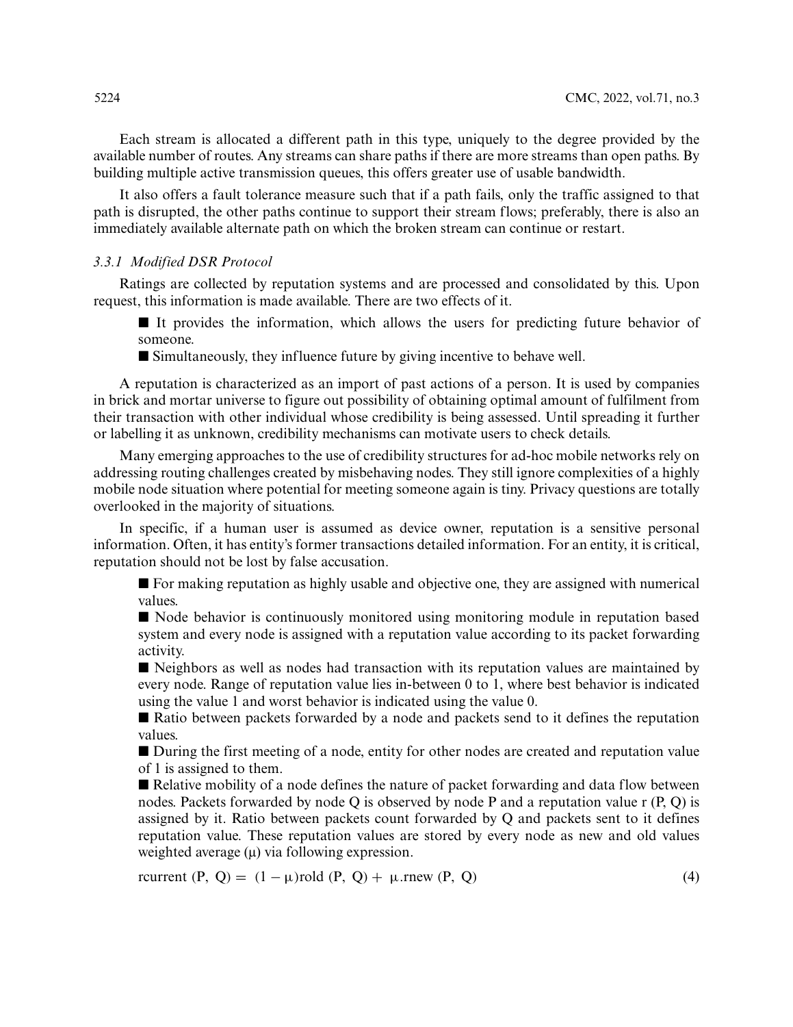Each stream is allocated a different path in this type, uniquely to the degree provided by the available number of routes. Any streams can share paths if there are more streams than open paths. By building multiple active transmission queues, this offers greater use of usable bandwidth.

It also offers a fault tolerance measure such that if a path fails, only the traffic assigned to that path is disrupted, the other paths continue to support their stream flows; preferably, there is also an immediately available alternate path on which the broken stream can continue or restart.

# *3.3.1 Modified DSR Protocol*

Ratings are collected by reputation systems and are processed and consolidated by this. Upon request, this information is made available. There are two effects of it.

It provides the information, which allows the users for predicting future behavior of someone.

- Simultaneously, they influence future by giving incentive to behave well.

A reputation is characterized as an import of past actions of a person. It is used by companies in brick and mortar universe to figure out possibility of obtaining optimal amount of fulfilment from their transaction with other individual whose credibility is being assessed. Until spreading it further or labelling it as unknown, credibility mechanisms can motivate users to check details.

Many emerging approaches to the use of credibility structures for ad-hoc mobile networks rely on addressing routing challenges created by misbehaving nodes. They still ignore complexities of a highly mobile node situation where potential for meeting someone again is tiny. Privacy questions are totally overlooked in the majority of situations.

In specific, if a human user is assumed as device owner, reputation is a sensitive personal information. Often, it has entity's former transactions detailed information. For an entity, it is critical, reputation should not be lost by false accusation.

- For making reputation as highly usable and objective one, they are assigned with numerical values.

■ Node behavior is continuously monitored using monitoring module in reputation based system and every node is assigned with a reputation value according to its packet forwarding activity.

 $\blacksquare$  Neighbors as well as nodes had transaction with its reputation values are maintained by every node. Range of reputation value lies in-between 0 to 1, where best behavior is indicated using the value 1 and worst behavior is indicated using the value 0.

■ Ratio between packets forwarded by a node and packets send to it defines the reputation values.

■ During the first meeting of a node, entity for other nodes are created and reputation value of 1 is assigned to them.

■ Relative mobility of a node defines the nature of packet forwarding and data flow between nodes. Packets forwarded by node Q is observed by node P and a reputation value r  $(P, Q)$  is assigned by it. Ratio between packets count forwarded by Q and packets sent to it defines reputation value. These reputation values are stored by every node as new and old values weighted average (μ) via following expression.

rcurrent  $(P, Q) = (1 - \mu) \text{rold } (P, Q) + \mu \text{.}$ rnew  $(P, Q)$  (4)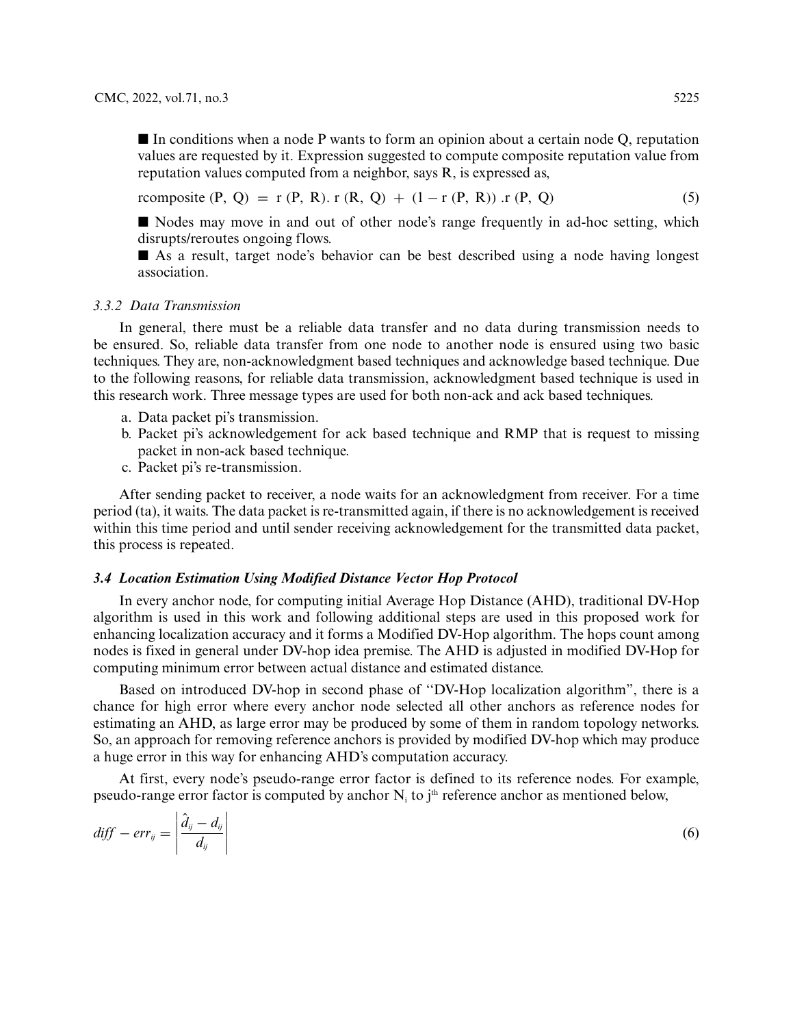$\blacksquare$  In conditions when a node P wants to form an opinion about a certain node Q, reputation values are requested by it. Expression suggested to compute composite reputation value from reputation values computed from a neighbor, says R, is expressed as,

 $r = r(P, Q) = r(P, R) \cdot r(R, Q) + (1 - r(P, R)) \cdot r(P, Q)$  (5)

■ Nodes may move in and out of other node's range frequently in ad-hoc setting, which disrupts/reroutes ongoing flows.

- As a result, target node's behavior can be best described using a node having longest association.

#### *3.3.2 Data Transmission*

In general, there must be a reliable data transfer and no data during transmission needs to be ensured. So, reliable data transfer from one node to another node is ensured using two basic techniques. They are, non-acknowledgment based techniques and acknowledge based technique. Due to the following reasons, for reliable data transmission, acknowledgment based technique is used in this research work. Three message types are used for both non-ack and ack based techniques.

- a. Data packet pi's transmission.
- b. Packet pi's acknowledgement for ack based technique and RMP that is request to missing packet in non-ack based technique.
- c. Packet pi's re-transmission.

After sending packet to receiver, a node waits for an acknowledgment from receiver. For a time period (ta), it waits. The data packet is re-transmitted again, if there is no acknowledgement is received within this time period and until sender receiving acknowledgement for the transmitted data packet, this process is repeated.

# *3.4 Location Estimation Using Modified Distance Vector Hop Protocol*

In every anchor node, for computing initial Average Hop Distance (AHD), traditional DV-Hop algorithm is used in this work and following additional steps are used in this proposed work for enhancing localization accuracy and it forms a Modified DV-Hop algorithm. The hops count among nodes is fixed in general under DV-hop idea premise. The AHD is adjusted in modified DV-Hop for computing minimum error between actual distance and estimated distance.

Based on introduced DV-hop in second phase of ''DV-Hop localization algorithm", there is a chance for high error where every anchor node selected all other anchors as reference nodes for estimating an AHD, as large error may be produced by some of them in random topology networks. So, an approach for removing reference anchors is provided by modified DV-hop which may produce a huge error in this way for enhancing AHD's computation accuracy.

At first, every node's pseudo-range error factor is defined to its reference nodes. For example, pseudo-range error factor is computed by anchor  $N_i$  to j<sup>th</sup> reference anchor as mentioned below,

<span id="page-6-0"></span>
$$
diff - err_{ij} = \left| \frac{\partial_{ij} - d_{ij}}{d_{ij}} \right| \tag{6}
$$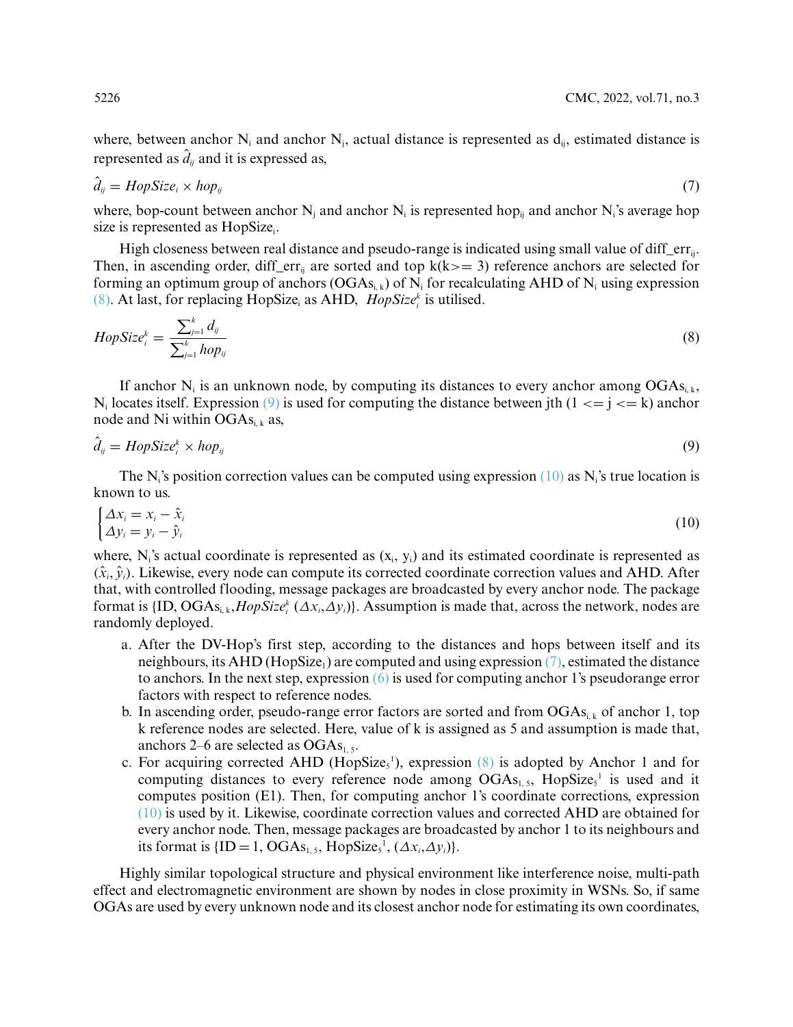where, between anchor  $N_i$  and anchor  $N_i$ , actual distance is represented as  $d_{ii}$ , estimated distance is represented as  $\hat{d}_{ij}$  and it is expressed as,

<span id="page-7-3"></span>
$$
\hat{d}_{ij} = HopSize_i \times hop_{ij} \tag{7}
$$

where, bop-count between anchor N<sub>i</sub> and anchor N<sub>i</sub> is represented hop<sub>ii</sub> and anchor N<sub>i</sub>'s average hop size is represented as HopSize.

High closeness between real distance and pseudo-range is indicated using small value of diff\_err<sub>ij</sub>. Then, in ascending order, diff err<sub>ij</sub> are sorted and top  $k(k)=3$ ) reference anchors are selected for forming an optimum group of anchors  $(OGA_{s_{i,k}})$  of N<sub>i</sub> for recalculating AHD of N<sub>i</sub> using expression [\(8\).](#page-7-0) At last, for replacing HopSize<sub>i</sub> as AHD,  $HopSize<sub>i</sub><sup>k</sup>$  is utilised.

<span id="page-7-0"></span>
$$
HopSize_i^k = \frac{\sum_{j=1}^k d_{ij}}{\sum_{j=1}^k hop_{ij}}\tag{8}
$$

If anchor N<sub>i</sub> is an unknown node, by computing its distances to every anchor among  $OGAs_{i,k}$ , N<sub>i</sub> locates itself. Expression [\(9\)](#page-7-1) is used for computing the distance between jth  $(1 \le i \le k)$  anchor node and Ni within  $OGAs_{i,k}$  as,

<span id="page-7-1"></span>
$$
\hat{d}_{ij} = HopSize_i^k \times hop_{ij} \tag{9}
$$

The N<sub>i</sub>'s position correction values can be computed using expression  $(10)$  as N<sub>i</sub>'s true location is known to us.

<span id="page-7-2"></span>
$$
\begin{cases}\n\Delta x_i = x_i - \hat{x}_i \\
\Delta y_i = y_i - \hat{y}_i\n\end{cases}
$$
\n(10)

where, N<sub>i</sub>'s actual coordinate is represented as  $(x_i, y_i)$  and its estimated coordinate is represented as  $(\hat{x}_i, \hat{y}_i)$ . Likewise, every node can compute its corrected coordinate correction values and AHD. After that, with controlled flooding, message packages are broadcasted by every anchor node. The package format is {ID, OGAsi, k,*HopSizek <sup>i</sup>* (*Δxi*,*Δyi*)}. Assumption is made that, across the network, nodes are randomly deployed.

- a. After the DV-Hop's first step, according to the distances and hops between itself and its neighbours, its AHD (HopSize<sub>1</sub>) are computed and using expression  $(7)$ , estimated the distance to anchors. In the next step, expression  $(6)$  is used for computing anchor 1's pseudorange error factors with respect to reference nodes.
- b. In ascending order, pseudo-range error factors are sorted and from  $OGA_{S_i,k}$  of anchor 1, top k reference nodes are selected. Here, value of k is assigned as 5 and assumption is made that, anchors 2–6 are selected as  $OGAs<sub>1,5</sub>$ .
- c. For acquiring corrected AHD (HopSize<sub>s</sub><sup>1</sup>), expression  $(8)$  is adopted by Anchor 1 and for computing distances to every reference node among  $OGAs_{1, 5}$ , HopSize<sub>5</sub><sup>1</sup> is used and it computes position (E1). Then, for computing anchor 1's coordinate corrections, expression [\(10\)](#page-7-2) is used by it. Likewise, coordinate correction values and corrected AHD are obtained for every anchor node. Then, message packages are broadcasted by anchor 1 to its neighbours and its format is  ${ID = 1, OGAs_{1, 5}, HopSize<sub>5</sub><sup>1</sup>, ( $\Delta x_i, \Delta y_i$ )}.$

Highly similar topological structure and physical environment like interference noise, multi-path effect and electromagnetic environment are shown by nodes in close proximity in WSNs. So, if same OGAs are used by every unknown node and its closest anchor node for estimating its own coordinates,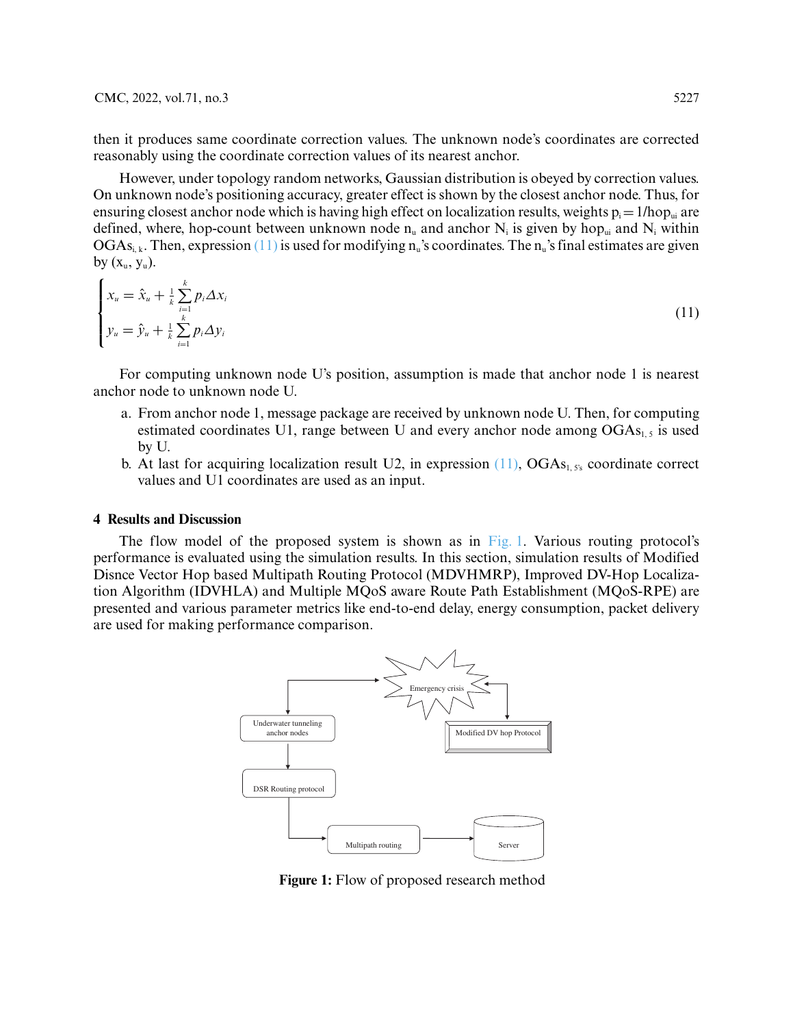then it produces same coordinate correction values. The unknown node's coordinates are corrected reasonably using the coordinate correction values of its nearest anchor.

However, under topology random networks, Gaussian distribution is obeyed by correction values. On unknown node's positioning accuracy, greater effect is shown by the closest anchor node. Thus, for ensuring closest anchor node which is having high effect on localization results, weights  $p_i = 1/hop_{ui}$  are defined, where, hop-count between unknown node  $n_u$  and anchor  $N_i$  is given by hop<sub>ui</sub> and  $N_i$  within  $OGAs<sub>i,k</sub>$ . Then, expression [\(11\)](#page-8-0) is used for modifying n<sub>u</sub>'s coordinates. The n<sub>u</sub>'s final estimates are given by  $(x_u, y_u)$ .

<span id="page-8-0"></span>
$$
\begin{cases} x_u = \hat{x}_u + \frac{1}{k} \sum_{i=1}^k p_i \Delta x_i \\ y_u = \hat{y}_u + \frac{1}{k} \sum_{i=1}^k p_i \Delta y_i \end{cases}
$$
 (11)

For computing unknown node U's position, assumption is made that anchor node 1 is nearest anchor node to unknown node U.

- a. From anchor node 1, message package are received by unknown node U. Then, for computing estimated coordinates U1, range between U and every anchor node among  $OGAs<sub>1,5</sub>$  is used by U.
- b. At last for acquiring localization result U2, in expression  $(11)$ , OGAs<sub>1, 5's</sub> coordinate correct values and U1 coordinates are used as an input.

# **4 Results and Discussion**

The flow model of the proposed system is shown as in [Fig. 1.](#page-8-1) Various routing protocol's performance is evaluated using the simulation results. In this section, simulation results of Modified Disnce Vector Hop based Multipath Routing Protocol (MDVHMRP), Improved DV-Hop Localization Algorithm (IDVHLA) and Multiple MQoS aware Route Path Establishment (MQoS-RPE) are presented and various parameter metrics like end-to-end delay, energy consumption, packet delivery are used for making performance comparison.



<span id="page-8-1"></span>**Figure 1:** Flow of proposed research method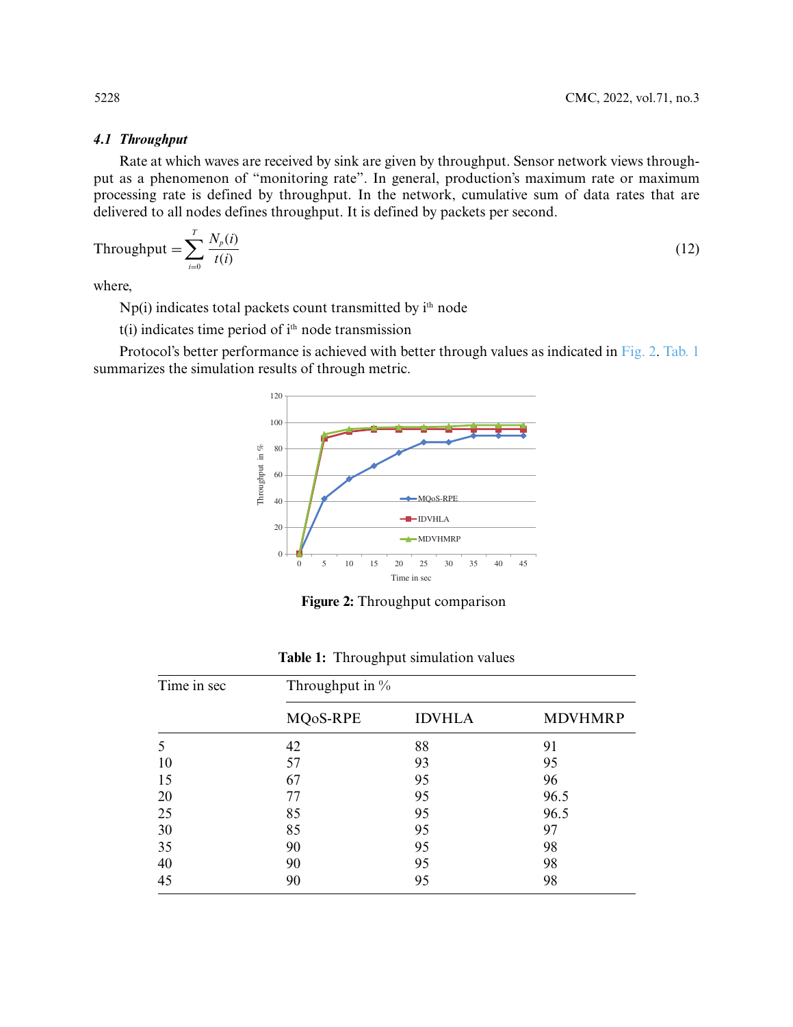# *4.1 Throughput*

Rate at which waves are received by sink are given by throughput. Sensor network views throughput as a phenomenon of "monitoring rate". In general, production's maximum rate or maximum processing rate is defined by throughput. In the network, cumulative sum of data rates that are delivered to all nodes defines throughput. It is defined by packets per second.

$$
Throughout = \sum_{i=0}^{T} \frac{N_p(i)}{t(i)}
$$
\n(12)

where,

Np(i) indicates total packets count transmitted by ith node

 $t(i)$  indicates time period of  $i<sup>th</sup>$  node transmission

Protocol's better performance is achieved with better through values as indicated in [Fig. 2.](#page-9-0) [Tab. 1](#page-9-1) summarizes the simulation results of through metric.



**Figure 2:** Throughput comparison

<span id="page-9-0"></span>

| Time in sec | Throughput in $\%$ |               |                |  |
|-------------|--------------------|---------------|----------------|--|
|             | MQoS-RPE           | <b>IDVHLA</b> | <b>MDVHMRP</b> |  |
|             | 42                 | 88            | 91             |  |
| 10          | 57                 | 93            | 95             |  |
| 15          | 67                 | 95            | 96             |  |
| 20          | 77                 | 95            | 96.5           |  |
| 25          | 85                 | 95            | 96.5           |  |
| 30          | 85                 | 95            | 97             |  |
| 35          | 90                 | 95            | 98             |  |
| 40          | 90                 | 95            | 98             |  |
| 45          | 90                 | 95            | 98             |  |

<span id="page-9-1"></span>**Table 1:** Throughput simulation values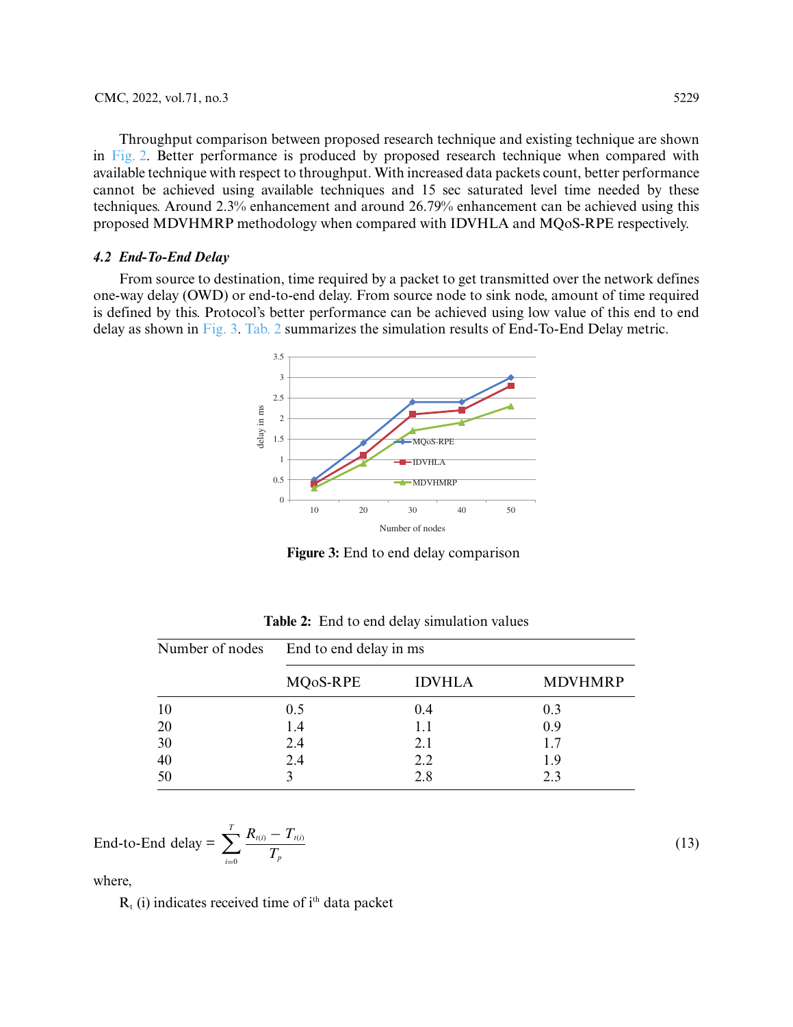Throughput comparison between proposed research technique and existing technique are shown in [Fig. 2.](#page-9-0) Better performance is produced by proposed research technique when compared with available technique with respect to throughput. With increased data packets count, better performance cannot be achieved using available techniques and 15 sec saturated level time needed by these techniques. Around 2.3% enhancement and around 26.79% enhancement can be achieved using this proposed MDVHMRP methodology when compared with IDVHLA and MQoS-RPE respectively.

#### *4.2 End-To-End Delay*

From source to destination, time required by a packet to get transmitted over the network defines one-way delay (OWD) or end-to-end delay. From source node to sink node, amount of time required is defined by this. Protocol's better performance can be achieved using low value of this end to end delay as shown in [Fig. 3.](#page-10-0) [Tab. 2](#page-10-1) summarizes the simulation results of End-To-End Delay metric.



**Figure 3:** End to end delay comparison

<span id="page-10-0"></span>

| Number of nodes | End to end delay in ms |               |                |  |
|-----------------|------------------------|---------------|----------------|--|
|                 | MQ <sub>o</sub> S-RPE  | <b>IDVHLA</b> | <b>MDVHMRP</b> |  |
| 10              | 0.5                    | 0.4           | 0.3            |  |
| 20              | 1.4                    | 1.1           | 0.9            |  |
| 30              | 2.4                    | 2.1           | 1.7            |  |
| 40              | 2.4                    | 2.2           | 1.9            |  |
| 50              |                        | 2.8           | 23             |  |

<span id="page-10-1"></span>**Table 2:** End to end delay simulation values

$$
\text{End-to-End delay} = \sum_{i=0}^{T} \frac{R_{\iota(i)} - T_{\iota(i)}}{T_p}
$$

where,

 $R<sub>t</sub>$  (i) indicates received time of i<sup>th</sup> data packet

(13)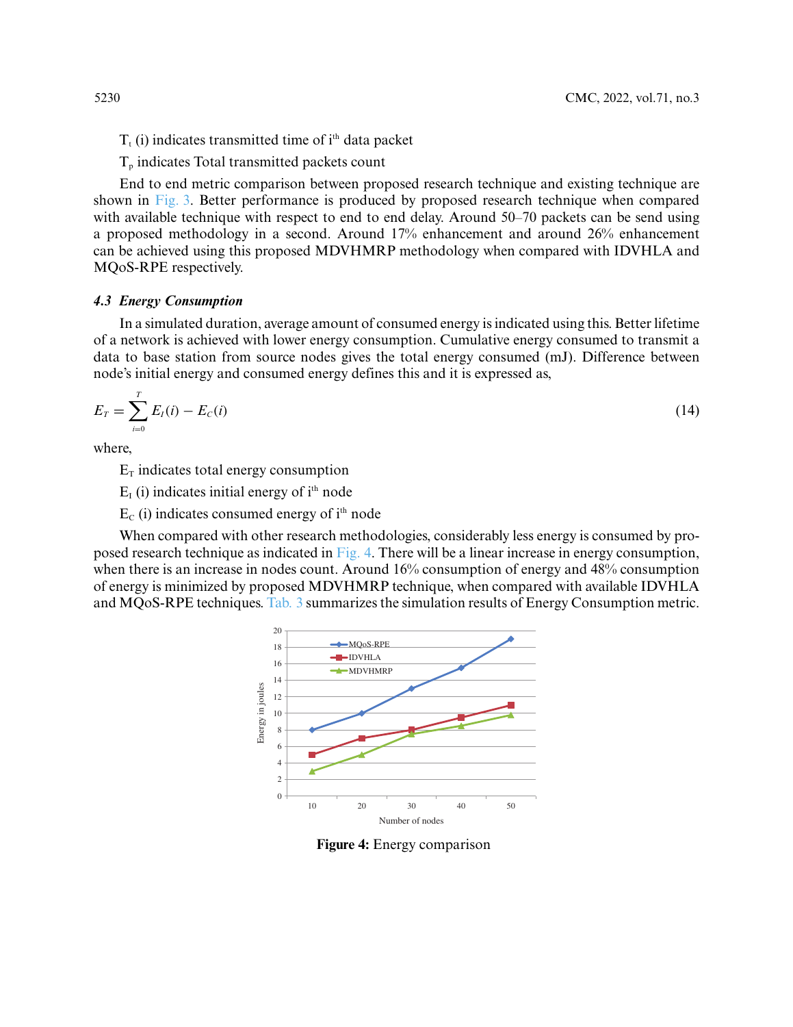- $T<sub>t</sub>$  (i) indicates transmitted time of  $i<sup>th</sup>$  data packet
- $T<sub>p</sub>$  indicates Total transmitted packets count

End to end metric comparison between proposed research technique and existing technique are shown in [Fig. 3.](#page-10-0) Better performance is produced by proposed research technique when compared with available technique with respect to end to end delay. Around 50–70 packets can be send using a proposed methodology in a second. Around 17% enhancement and around 26% enhancement can be achieved using this proposed MDVHMRP methodology when compared with IDVHLA and MQoS-RPE respectively.

# *4.3 Energy Consumption*

In a simulated duration, average amount of consumed energy is indicated using this. Better lifetime of a network is achieved with lower energy consumption. Cumulative energy consumed to transmit a data to base station from source nodes gives the total energy consumed (mJ). Difference between node's initial energy and consumed energy defines this and it is expressed as,

$$
E_T = \sum_{i=0}^T E_I(i) - E_C(i)
$$
\n(14)

where,

 $E_T$  indicates total energy consumption

 $E<sub>I</sub>$  (i) indicates initial energy of i<sup>th</sup> node

 $E_c$  (i) indicates consumed energy of i<sup>th</sup> node

When compared with other research methodologies, considerably less energy is consumed by proposed research technique as indicated in [Fig. 4.](#page-11-0) There will be a linear increase in energy consumption, when there is an increase in nodes count. Around 16% consumption of energy and 48% consumption of energy is minimized by proposed MDVHMRP technique, when compared with available IDVHLA and MQoS-RPE techniques. [Tab. 3](#page-12-0) summarizes the simulation results of Energy Consumption metric.



<span id="page-11-0"></span>**Figure 4:** Energy comparison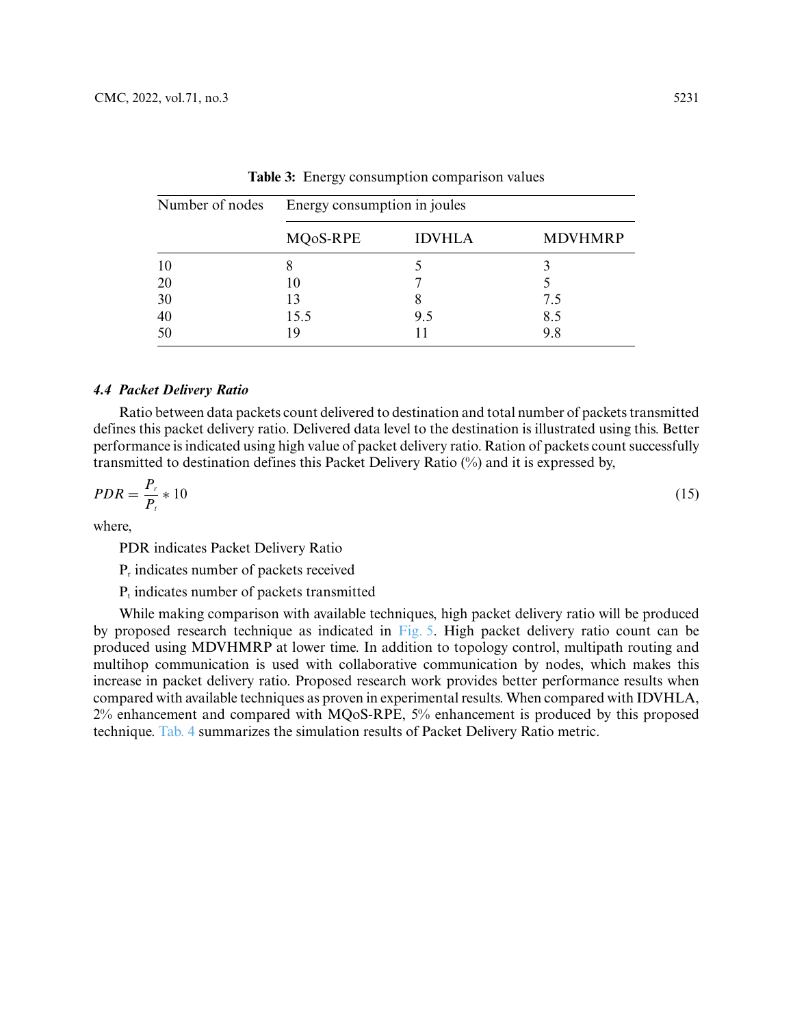| Number of nodes | Energy consumption in joules |               |                |  |
|-----------------|------------------------------|---------------|----------------|--|
|                 | MQ0S-RPE                     | <b>IDVHLA</b> | <b>MDVHMRP</b> |  |
| 10              |                              |               |                |  |
| 20              |                              |               |                |  |
| 30              | 13                           |               | 7.5            |  |
| 40              | 15.5                         | 9.5           | 8.5            |  |
| 50              |                              |               | 9.8            |  |

<span id="page-12-0"></span>**Table 3:** Energy consumption comparison values

# *4.4 Packet Delivery Ratio*

Ratio between data packets count delivered to destination and total number of packets transmitted defines this packet delivery ratio. Delivered data level to the destination is illustrated using this. Better performance is indicated using high value of packet delivery ratio. Ration of packets count successfully transmitted to destination defines this Packet Delivery Ratio (%) and it is expressed by,

$$
PDR = \frac{P_r}{P_t} \times 10\tag{15}
$$

where,

PDR indicates Packet Delivery Ratio

Pr indicates number of packets received

 $P<sub>t</sub>$  indicates number of packets transmitted

While making comparison with available techniques, high packet delivery ratio will be produced by proposed research technique as indicated in [Fig. 5.](#page-13-0) High packet delivery ratio count can be produced using MDVHMRP at lower time. In addition to topology control, multipath routing and multihop communication is used with collaborative communication by nodes, which makes this increase in packet delivery ratio. Proposed research work provides better performance results when compared with available techniques as proven in experimental results. When compared with IDVHLA, 2% enhancement and compared with MQoS-RPE, 5% enhancement is produced by this proposed technique. [Tab. 4](#page-13-1) summarizes the simulation results of Packet Delivery Ratio metric.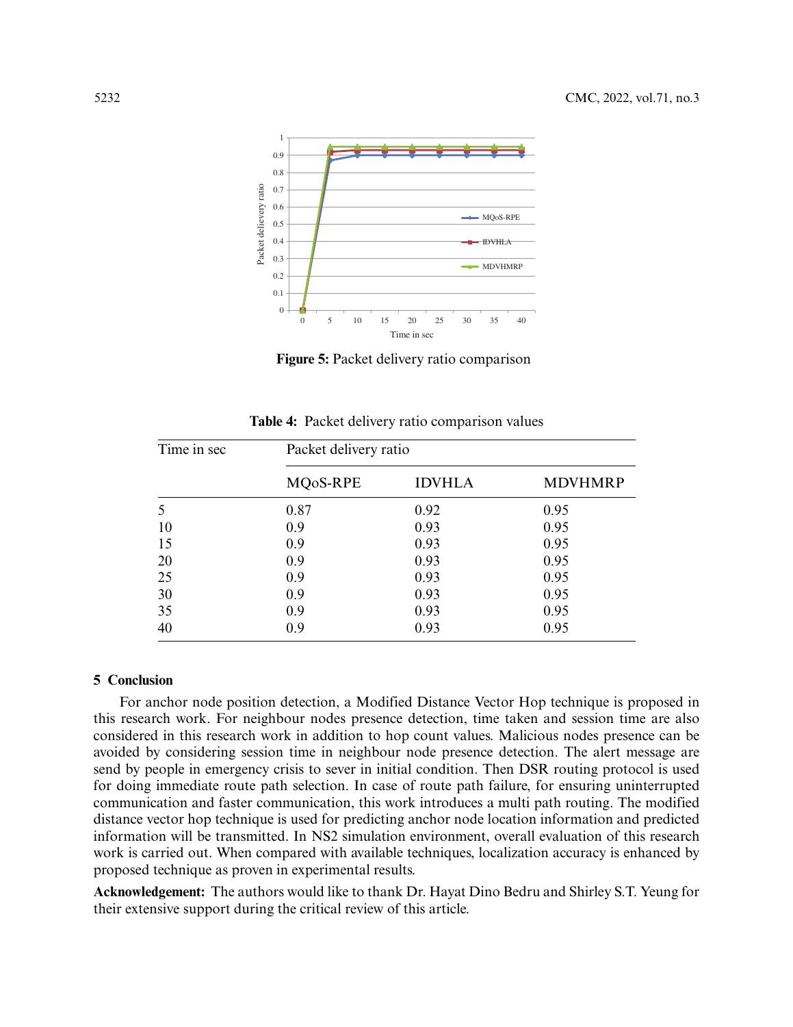

**Figure 5:** Packet delivery ratio comparison

<span id="page-13-0"></span>

| Time in sec | Packet delivery ratio |               |                |  |
|-------------|-----------------------|---------------|----------------|--|
|             | MQ <sub>o</sub> S-RPE | <b>IDVHLA</b> | <b>MDVHMRP</b> |  |
|             | 0.87                  | 0.92          | 0.95           |  |
| 10          | 0.9                   | 0.93          | 0.95           |  |
| 15          | 0.9                   | 0.93          | 0.95           |  |
| 20          | 0.9                   | 0.93          | 0.95           |  |
| 25          | 0.9                   | 0.93          | 0.95           |  |
| 30          | 0.9                   | 0.93          | 0.95           |  |
| 35          | 0.9                   | 0.93          | 0.95           |  |
| 40          | 0.9                   | 0.93          | 0.95           |  |

<span id="page-13-1"></span>**Table 4:** Packet delivery ratio comparison values

#### **5 Conclusion**

For anchor node position detection, a Modified Distance Vector Hop technique is proposed in this research work. For neighbour nodes presence detection, time taken and session time are also considered in this research work in addition to hop count values. Malicious nodes presence can be avoided by considering session time in neighbour node presence detection. The alert message are send by people in emergency crisis to sever in initial condition. Then DSR routing protocol is used for doing immediate route path selection. In case of route path failure, for ensuring uninterrupted communication and faster communication, this work introduces a multi path routing. The modified distance vector hop technique is used for predicting anchor node location information and predicted information will be transmitted. In NS2 simulation environment, overall evaluation of this research work is carried out. When compared with available techniques, localization accuracy is enhanced by proposed technique as proven in experimental results.

**Acknowledgement:** The authors would like to thank Dr. Hayat Dino Bedru and Shirley S.T. Yeung for their extensive support during the critical review of this article.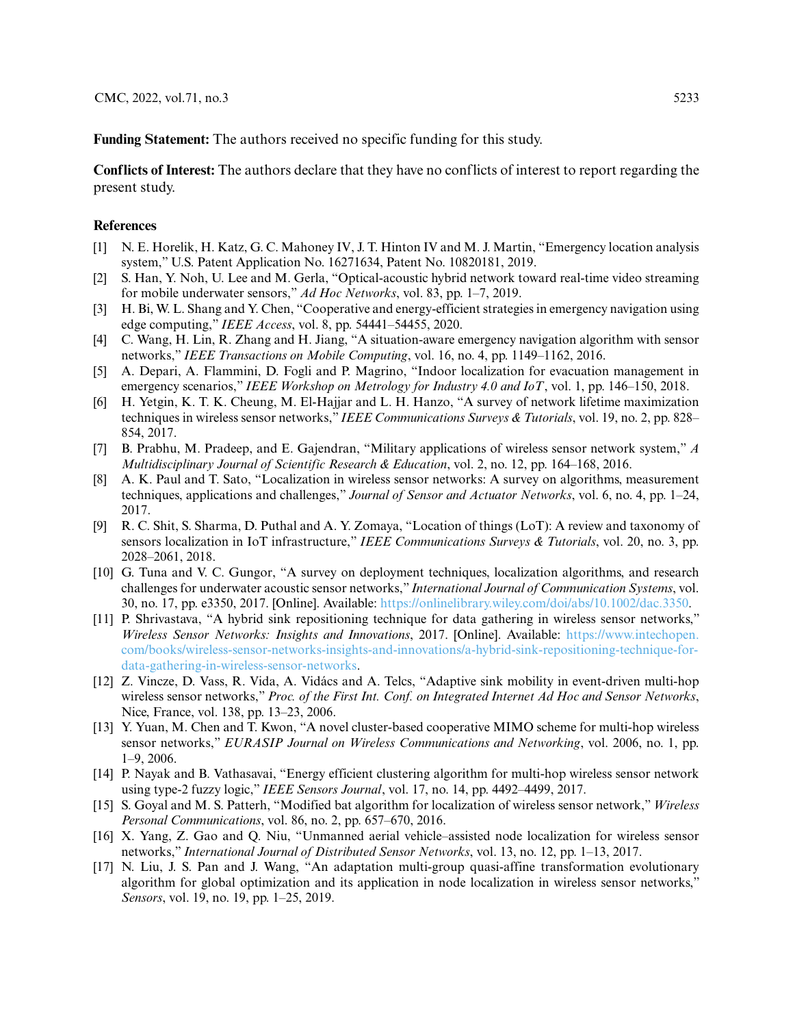**Funding Statement:** The authors received no specific funding for this study.

**Conflicts of Interest:** The authors declare that they have no conflicts of interest to report regarding the present study.

#### **References**

- <span id="page-14-0"></span>[1] N. E. Horelik, H. Katz, G. C. Mahoney IV, J. T. Hinton IV and M. J. Martin, "Emergency location analysis system," U.S. Patent Application No. 16271634, Patent No. 10820181, 2019.
- <span id="page-14-1"></span>[2] S. Han, Y. Noh, U. Lee and M. Gerla, "Optical-acoustic hybrid network toward real-time video streaming for mobile underwater sensors," *Ad Hoc Networks*, vol. 83, pp. 1–7, 2019.
- <span id="page-14-2"></span>[3] H. Bi, W. L. Shang and Y. Chen, "Cooperative and energy-efficient strategies in emergency navigation using edge computing," *IEEE Access*, vol. 8, pp. 54441–54455, 2020.
- <span id="page-14-3"></span>[4] C. Wang, H. Lin, R. Zhang and H. Jiang, "A situation-aware emergency navigation algorithm with sensor networks," *IEEE Transactions on Mobile Computing*, vol. 16, no. 4, pp. 1149–1162, 2016.
- <span id="page-14-4"></span>[5] A. Depari, A. Flammini, D. Fogli and P. Magrino, "Indoor localization for evacuation management in emergency scenarios," *IEEE Workshop on Metrology for Industry 4.0 and IoT*, vol. 1, pp. 146–150, 2018.
- <span id="page-14-5"></span>[6] H. Yetgin, K. T. K. Cheung, M. El-Hajjar and L. H. Hanzo, "A survey of network lifetime maximization techniques in wireless sensor networks," *IEEE Communications Surveys & Tutorials*, vol. 19, no. 2, pp. 828– 854, 2017.
- <span id="page-14-6"></span>[7] B. Prabhu, M. Pradeep, and E. Gajendran, "Military applications of wireless sensor network system," *A Multidisciplinary Journal of Scientific Research & Education*, vol. 2, no. 12, pp. 164–168, 2016.
- <span id="page-14-7"></span>[8] A. K. Paul and T. Sato, "Localization in wireless sensor networks: A survey on algorithms, measurement techniques, applications and challenges," *Journal of Sensor and Actuator Networks*, vol. 6, no. 4, pp. 1–24, 2017.
- <span id="page-14-8"></span>[9] R. C. Shit, S. Sharma, D. Puthal and A. Y. Zomaya, "Location of things (LoT): A review and taxonomy of sensors localization in IoT infrastructure," *IEEE Communications Surveys & Tutorials*, vol. 20, no. 3, pp. 2028–2061, 2018.
- <span id="page-14-9"></span>[10] G. Tuna and V. C. Gungor, "A survey on deployment techniques, localization algorithms, and research challenges for underwater acoustic sensor networks," *International Journal of Communication Systems*, vol. 30, no. 17, pp. e3350, 2017. [Online]. Available: [https://onlinelibrary.wiley.com/doi/abs/10.1002/dac.3350.](https://onlinelibrary.wiley.com/doi/abs/10.1002/dac.3350)
- <span id="page-14-10"></span>[11] P. Shrivastava, "A hybrid sink repositioning technique for data gathering in wireless sensor networks," *Wireless Sensor Networks: Insights and Innovations*, 2017. [Online]. Available: https://www.intechopen. [com/books/wireless-sensor-networks-insights-and-innovations/a-hybrid-sink-repositioning-technique-for](https://www.intechopen.com/books/wireless-sensor-networks-insights-and-innovations/a-hybrid-sink-repositioning-technique-for-data-gathering-in-wireless-sensor-networks)data-gathering-in-wireless-sensor-networks.
- <span id="page-14-11"></span>[12] Z. Vincze, D. Vass, R. Vida, A. Vidács and A. Telcs, "Adaptive sink mobility in event-driven multi-hop wireless sensor networks," *Proc. of the First Int. Conf. on Integrated Internet Ad Hoc and Sensor Networks*, Nice, France, vol. 138, pp. 13–23, 2006.
- <span id="page-14-12"></span>[13] Y. Yuan, M. Chen and T. Kwon, "A novel cluster-based cooperative MIMO scheme for multi-hop wireless sensor networks," *EURASIP Journal on Wireless Communications and Networking*, vol. 2006, no. 1, pp. 1–9, 2006.
- <span id="page-14-13"></span>[14] P. Nayak and B. Vathasavai, "Energy efficient clustering algorithm for multi-hop wireless sensor network using type-2 fuzzy logic," *IEEE Sensors Journal*, vol. 17, no. 14, pp. 4492–4499, 2017.
- <span id="page-14-14"></span>[15] S. Goyal and M. S. Patterh, "Modified bat algorithm for localization of wireless sensor network," *Wireless Personal Communications*, vol. 86, no. 2, pp. 657–670, 2016.
- <span id="page-14-15"></span>[16] X. Yang, Z. Gao and Q. Niu, "Unmanned aerial vehicle–assisted node localization for wireless sensor networks," *International Journal of Distributed Sensor Networks*, vol. 13, no. 12, pp. 1–13, 2017.
- <span id="page-14-16"></span>[17] N. Liu, J. S. Pan and J. Wang, "An adaptation multi-group quasi-affine transformation evolutionary algorithm for global optimization and its application in node localization in wireless sensor networks," *Sensors*, vol. 19, no. 19, pp. 1–25, 2019.